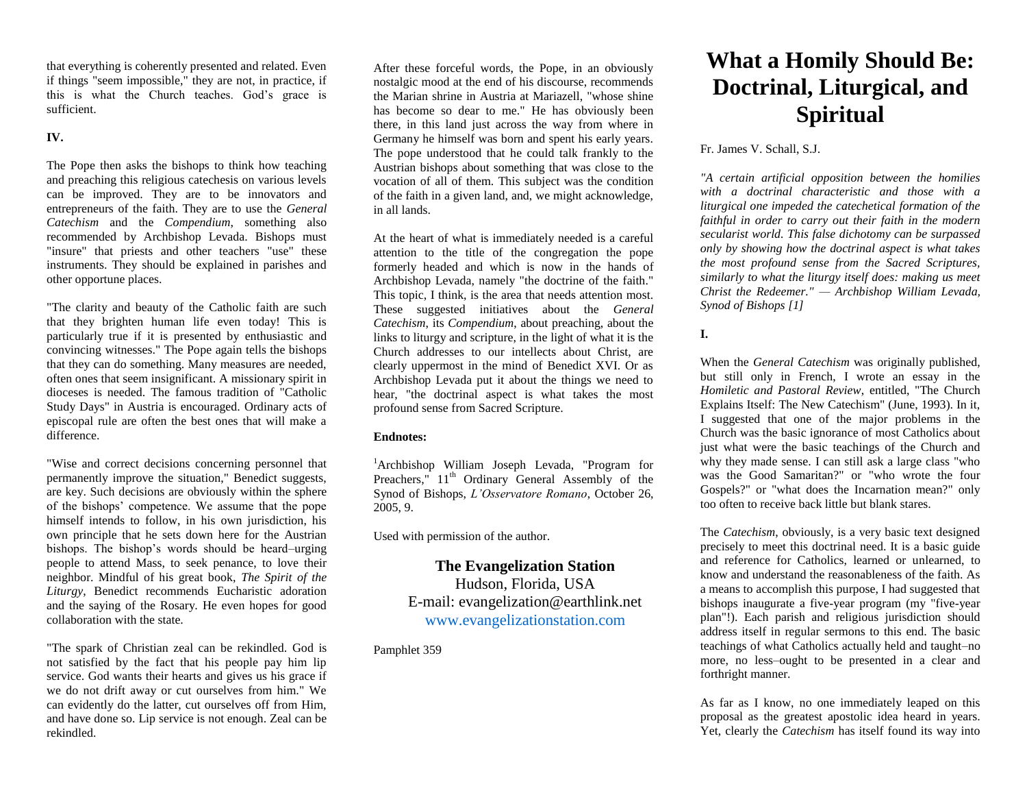that everything is coherently presented and related. Even if things "seem impossible," they are not, in practice, if this is what the Church teaches. God's grace is sufficient.

### **IV.**

The Pope then asks the bishops to think how teaching and preaching this religious catechesis on various levels can be improved. They are to be innovators and entrepreneurs of the faith. They are to use the *General Catechism* and the *Compendium*, something also recommended by Archbishop Levada. Bishops must "insure" that priests and other teachers "use" these instruments. They should be explained in parishes and other opportune places.

"The clarity and beauty of the Catholic faith are such that they brighten human life even today! This is particularly true if it is presented by enthusiastic and convincing witnesses." The Pope again tells the bishops that they can do something. Many measures are needed, often ones that seem insignificant. A missionary spirit in dioceses is needed. The famous tradition of "Catholic Study Days" in Austria is encouraged. Ordinary acts of episcopal rule are often the best ones that will make a difference.

"Wise and correct decisions concerning personnel that permanently improve the situation," Benedict suggests, are key. Such decisions are obviously within the sphere of the bishops' competence. We assume that the pope himself intends to follow, in his own jurisdiction, his own principle that he sets down here for the Austrian bishops. The bishop's words should be heard–urging people to attend Mass, to seek penance, to love their neighbor. Mindful of his great book, *The Spirit of the Liturgy*, Benedict recommends Eucharistic adoration and the saying of the Rosary. He even hopes for good collaboration with the state.

"The spark of Christian zeal can be rekindled. God is not satisfied by the fact that his people pay him lip service. God wants their hearts and gives us his grace if we do not drift away or cut ourselves from him." We can evidently do the latter, cut ourselves off from Him, and have done so. Lip service is not enough. Zeal can be rekindled.

After these forceful words, the Pope, in an obviously nostalgic mood at the end of his discourse, recommends the Marian shrine in Austria at Mariazell, "whose shine has become so dear to me." He has obviously been there, in this land just across the way from where in Germany he himself was born and spent his early years. The pope understood that he could talk frankly to the Austrian bishops about something that was close to the vocation of all of them. This subject was the condition of the faith in a given land, and, we might acknowledge, in all lands.

At the heart of what is immediately needed is a careful attention to the title of the congregation the pope formerly headed and which is now in the hands of Archbishop Levada, namely "the doctrine of the faith." This topic, I think, is the area that needs attention most. These suggested initiatives about the *General Catechism*, its *Compendium*, about preaching, about the links to liturgy and scripture, in the light of what it is the Church addresses to our intellects about Christ, are clearly uppermost in the mind of Benedict XVI. Or as Archbishop Levada put it about the things we need to hear, "the doctrinal aspect is what takes the most profound sense from Sacred Scripture.

#### **Endnotes:**

<sup>1</sup>Archbishop William Joseph Levada, "Program for Preachers,"  $11<sup>th</sup>$  Ordinary General Assembly of the Synod of Bishops, *L'Osservatore Romano*, October 26, 2005, 9.

Used with permission of the author.

**The Evangelization Station**  Hudson, Florida, USA E-mail: evangelization@earthlink.net [www.evangelizationstation.com](http://www.pjpiisoe.org/)

Pamphlet 359

# **What a Homily Should Be: Doctrinal, Liturgical, and Spiritual**

## Fr. James V. Schall, S.J.

*"A certain artificial opposition between the homilies with a doctrinal characteristic and those with a liturgical one impeded the catechetical formation of the faithful in order to carry out their faith in the modern secularist world. This false dichotomy can be surpassed only by showing how the doctrinal aspect is what takes the most profound sense from the Sacred Scriptures, similarly to what the liturgy itself does: making us meet Christ the Redeemer." — Archbishop William Levada, Synod of Bishops [1]*

## **I.**

When the *General Catechism* was originally published, but still only in French, I wrote an essay in the *Homiletic and Pastoral Review*, entitled, "The Church Explains Itself: The New Catechism" (June, 1993). In it, I suggested that one of the major problems in the Church was the basic ignorance of most Catholics about just what were the basic teachings of the Church and why they made sense. I can still ask a large class "who was the Good Samaritan?" or "who wrote the four Gospels?" or "what does the Incarnation mean?" only too often to receive back little but blank stares.

The *Catechism*, obviously, is a very basic text designed precisely to meet this doctrinal need. It is a basic guide and reference for Catholics, learned or unlearned, to know and understand the reasonableness of the faith. As a means to accomplish this purpose, I had suggested that bishops inaugurate a five-year program (my "five-year plan"!). Each parish and religious jurisdiction should address itself in regular sermons to this end. The basic teachings of what Catholics actually held and taught–no more, no less–ought to be presented in a clear and forthright manner.

As far as I know, no one immediately leaped on this proposal as the greatest apostolic idea heard in years. Yet, clearly the *Catechism* has itself found its way into